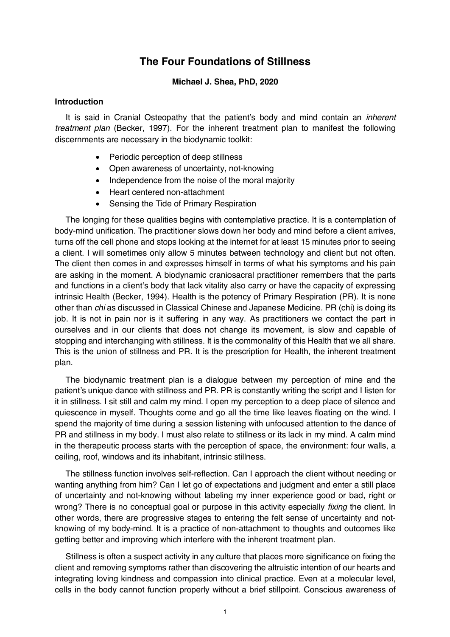# **The Four Foundations of Stillness**

#### **Michael J. Shea, PhD, 2020**

#### **Introduction**

It is said in Cranial Osteopathy that the patient's body and mind contain an *inherent treatment plan* (Becker, 1997). For the inherent treatment plan to manifest the following discernments are necessary in the biodynamic toolkit:

- Periodic perception of deep stillness
- Open awareness of uncertainty, not-knowing
- Independence from the noise of the moral majority
- Heart centered non-attachment
- Sensing the Tide of Primary Respiration

The longing for these qualities begins with contemplative practice. It is a contemplation of body-mind unification. The practitioner slows down her body and mind before a client arrives, turns off the cell phone and stops looking at the internet for at least 15 minutes prior to seeing a client. I will sometimes only allow 5 minutes between technology and client but not often. The client then comes in and expresses himself in terms of what his symptoms and his pain are asking in the moment. A biodynamic craniosacral practitioner remembers that the parts and functions in a client's body that lack vitality also carry or have the capacity of expressing intrinsic Health (Becker, 1994). Health is the potency of Primary Respiration (PR). It is none other than *chi* as discussed in Classical Chinese and Japanese Medicine. PR (chi) is doing its job. It is not in pain nor is it suffering in any way. As practitioners we contact the part in ourselves and in our clients that does not change its movement, is slow and capable of stopping and interchanging with stillness. It is the commonality of this Health that we all share. This is the union of stillness and PR. It is the prescription for Health, the inherent treatment plan.

The biodynamic treatment plan is a dialogue between my perception of mine and the patient's unique dance with stillness and PR. PR is constantly writing the script and I listen for it in stillness. I sit still and calm my mind. I open my perception to a deep place of silence and quiescence in myself. Thoughts come and go all the time like leaves floating on the wind. I spend the majority of time during a session listening with unfocused attention to the dance of PR and stillness in my body. I must also relate to stillness or its lack in my mind. A calm mind in the therapeutic process starts with the perception of space, the environment: four walls, a ceiling, roof, windows and its inhabitant, intrinsic stillness.

The stillness function involves self-reflection. Can I approach the client without needing or wanting anything from him? Can I let go of expectations and judgment and enter a still place of uncertainty and not-knowing without labeling my inner experience good or bad, right or wrong? There is no conceptual goal or purpose in this activity especially *fixing* the client. In other words, there are progressive stages to entering the felt sense of uncertainty and notknowing of my body-mind. It is a practice of non-attachment to thoughts and outcomes like getting better and improving which interfere with the inherent treatment plan.

Stillness is often a suspect activity in any culture that places more significance on fixing the client and removing symptoms rather than discovering the altruistic intention of our hearts and integrating loving kindness and compassion into clinical practice. Even at a molecular level, cells in the body cannot function properly without a brief stillpoint. Conscious awareness of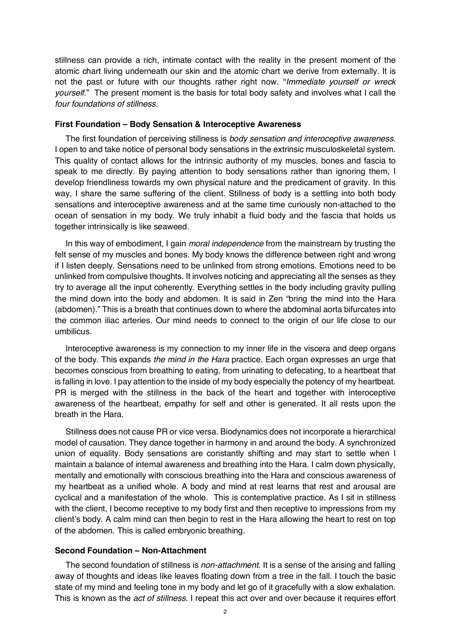stillness can provide a rich, intimate contact with the reality in the present moment of the atomic chart living underneath our skin and the atomic chart we derive from externally. It is not the past or future with our thoughts rather right now. "*Immediate yourself or wreck yourself*." The present moment is the basis for total body safety and involves what I call the *four foundations of stillness*.

#### **First Foundation – Body Sensation & Interoceptive Awareness**

The first foundation of perceiving stillness is *body sensation and interoceptive awareness*. I open to and take notice of personal body sensations in the extrinsic musculoskeletal system. This quality of contact allows for the intrinsic authority of my muscles, bones and fascia to speak to me directly. By paying attention to body sensations rather than ignoring them, I develop friendliness towards my own physical nature and the predicament of gravity. In this way, I share the same suffering of the client. Stillness of body is a settling into both body sensations and interoceptive awareness and at the same time curiously non-attached to the ocean of sensation in my body. We truly inhabit a fluid body and the fascia that holds us together intrinsically is like seaweed.

In this way of embodiment, I gain *moral independence* from the mainstream by trusting the felt sense of my muscles and bones. My body knows the difference between right and wrong if I listen deeply. Sensations need to be unlinked from strong emotions. Emotions need to be unlinked from compulsive thoughts. It involves noticing and appreciating all the senses as they try to average all the input coherently. Everything settles in the body including gravity pulling the mind down into the body and abdomen. It is said in Zen "bring the mind into the Hara (abdomen)." This is a breath that continues down to where the abdominal aorta bifurcates into the common iliac arteries. Our mind needs to connect to the origin of our life close to our umbilicus.

Interoceptive awareness is my connection to my inner life in the viscera and deep organs of the body. This expands *the mind in the Hara* practice. Each organ expresses an urge that becomes conscious from breathing to eating, from urinating to defecating, to a heartbeat that is falling in love. I pay attention to the inside of my body especially the potency of my heartbeat. PR is merged with the stillness in the back of the heart and together with interoceptive awareness of the heartbeat, empathy for self and other is generated. It all rests upon the breath in the Hara.

Stillness does not cause PR or vice versa. Biodynamics does not incorporate a hierarchical model of causation. They dance together in harmony in and around the body. A synchronized union of equality. Body sensations are constantly shifting and may start to settle when I maintain a balance of internal awareness and breathing into the Hara. I calm down physically, mentally and emotionally with conscious breathing into the Hara and conscious awareness of my heartbeat as a unified whole. A body and mind at rest learns that rest and arousal are cyclical and a manifestation of the whole. This is contemplative practice. As I sit in stillness with the client, I become receptive to my body first and then receptive to impressions from my client's body. A calm mind can then begin to rest in the Hara allowing the heart to rest on top of the abdomen. This is called embryonic breathing.

#### **Second Foundation – Non-Attachment**

The second foundation of stillness is *non-attachment*. It is a sense of the arising and falling away of thoughts and ideas like leaves floating down from a tree in the fall. I touch the basic state of my mind and feeling tone in my body and let go of it gracefully with a slow exhalation. This is known as the *act of stillness*. I repeat this act over and over because it requires effort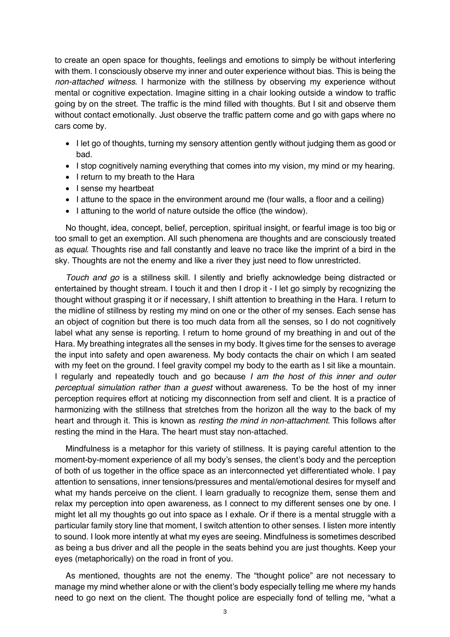to create an open space for thoughts, feelings and emotions to simply be without interfering with them. I consciously observe my inner and outer experience without bias. This is being the *non-attached witness*. I harmonize with the stillness by observing my experience without mental or cognitive expectation. Imagine sitting in a chair looking outside a window to traffic going by on the street. The traffic is the mind filled with thoughts. But I sit and observe them without contact emotionally. Just observe the traffic pattern come and go with gaps where no cars come by.

- I let go of thoughts, turning my sensory attention gently without judging them as good or bad.
- I stop cognitively naming everything that comes into my vision, my mind or my hearing.
- I return to my breath to the Hara
- I sense my heartbeat
- I attune to the space in the environment around me (four walls, a floor and a ceiling)
- I attuning to the world of nature outside the office (the window).

No thought, idea, concept, belief, perception, spiritual insight, or fearful image is too big or too small to get an exemption. All such phenomena are thoughts and are consciously treated as *equal*. Thoughts rise and fall constantly and leave no trace like the imprint of a bird in the sky. Thoughts are not the enemy and like a river they just need to flow unrestricted.

*Touch and go* is a stillness skill. I silently and briefly acknowledge being distracted or entertained by thought stream. I touch it and then I drop it - I let go simply by recognizing the thought without grasping it or if necessary, I shift attention to breathing in the Hara. I return to the midline of stillness by resting my mind on one or the other of my senses. Each sense has an object of cognition but there is too much data from all the senses, so I do not cognitively label what any sense is reporting. I return to home ground of my breathing in and out of the Hara. My breathing integrates all the senses in my body. It gives time for the senses to average the input into safety and open awareness. My body contacts the chair on which I am seated with my feet on the ground. I feel gravity compel my body to the earth as I sit like a mountain. I regularly and repeatedly touch and go because *I am the host of this inner and outer perceptual simulation rather than a guest* without awareness. To be the host of my inner perception requires effort at noticing my disconnection from self and client. It is a practice of harmonizing with the stillness that stretches from the horizon all the way to the back of my heart and through it. This is known as *resting the mind in non-attachment*. This follows after resting the mind in the Hara. The heart must stay non-attached.

Mindfulness is a metaphor for this variety of stillness. It is paying careful attention to the moment-by-moment experience of all my body's senses, the client's body and the perception of both of us together in the office space as an interconnected yet differentiated whole. I pay attention to sensations, inner tensions/pressures and mental/emotional desires for myself and what my hands perceive on the client. I learn gradually to recognize them, sense them and relax my perception into open awareness, as I connect to my different senses one by one. I might let all my thoughts go out into space as I exhale. Or if there is a mental struggle with a particular family story line that moment, I switch attention to other senses. I listen more intently to sound. I look more intently at what my eyes are seeing. Mindfulness is sometimes described as being a bus driver and all the people in the seats behind you are just thoughts. Keep your eyes (metaphorically) on the road in front of you.

As mentioned, thoughts are not the enemy. The "thought police" are not necessary to manage my mind whether alone or with the client's body especially telling me where my hands need to go next on the client. The thought police are especially fond of telling me, "what a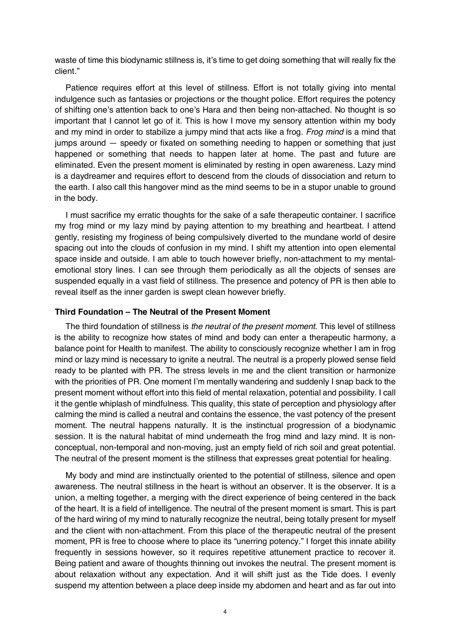waste of time this biodynamic stillness is, it's time to get doing something that will really fix the client."

Patience requires effort at this level of stillness. Effort is not totally giving into mental indulgence such as fantasies or projections or the thought police. Effort requires the potency of shifting one's attention back to one's Hara and then being non-attached. No thought is so important that I cannot let go of it. This is how I move my sensory attention within my body and my mind in order to stabilize a jumpy mind that acts like a frog. *Frog mind* is a mind that jumps around — speedy or fixated on something needing to happen or something that just happened or something that needs to happen later at home. The past and future are eliminated. Even the present moment is eliminated by resting in open awareness. Lazy mind is a daydreamer and requires effort to descend from the clouds of dissociation and return to the earth. I also call this hangover mind as the mind seems to be in a stupor unable to ground in the body.

I must sacrifice my erratic thoughts for the sake of a safe therapeutic container. I sacrifice my frog mind or my lazy mind by paying attention to my breathing and heartbeat. I attend gently, resisting my froginess of being compulsively diverted to the mundane world of desire spacing out into the clouds of confusion in my mind. I shift my attention into open elemental space inside and outside. I am able to touch however briefly, non-attachment to my mentalemotional story lines. I can see through them periodically as all the objects of senses are suspended equally in a vast field of stillness. The presence and potency of PR is then able to reveal itself as the inner garden is swept clean however briefly.

#### **Third Foundation – The Neutral of the Present Moment**

The third foundation of stillness is *the neutral of the present moment*. This level of stillness is the ability to recognize how states of mind and body can enter a therapeutic harmony, a balance point for Health to manifest. The ability to consciously recognize whether I am in frog mind or lazy mind is necessary to ignite a neutral. The neutral is a properly plowed sense field ready to be planted with PR. The stress levels in me and the client transition or harmonize with the priorities of PR. One moment I'm mentally wandering and suddenly I snap back to the present moment without effort into this field of mental relaxation, potential and possibility. I call it the gentle whiplash of mindfulness. This quality, this state of perception and physiology after calming the mind is called a neutral and contains the essence, the vast potency of the present moment. The neutral happens naturally. It is the instinctual progression of a biodynamic session. It is the natural habitat of mind underneath the frog mind and lazy mind. It is nonconceptual, non-temporal and non-moving, just an empty field of rich soil and great potential. The neutral of the present moment is the stillness that expresses great potential for healing.

My body and mind are instinctually oriented to the potential of stillness, silence and open awareness. The neutral stillness in the heart is without an observer. It is the observer. It is a union, a melting together, a merging with the direct experience of being centered in the back of the heart. It is a field of intelligence. The neutral of the present moment is smart. This is part of the hard wiring of my mind to naturally recognize the neutral, being totally present for myself and the client with non-attachment. From this place of the therapeutic neutral of the present moment, PR is free to choose where to place its "unerring potency." I forget this innate ability frequently in sessions however, so it requires repetitive attunement practice to recover it. Being patient and aware of thoughts thinning out invokes the neutral. The present moment is about relaxation without any expectation. And it will shift just as the Tide does. I evenly suspend my attention between a place deep inside my abdomen and heart and as far out into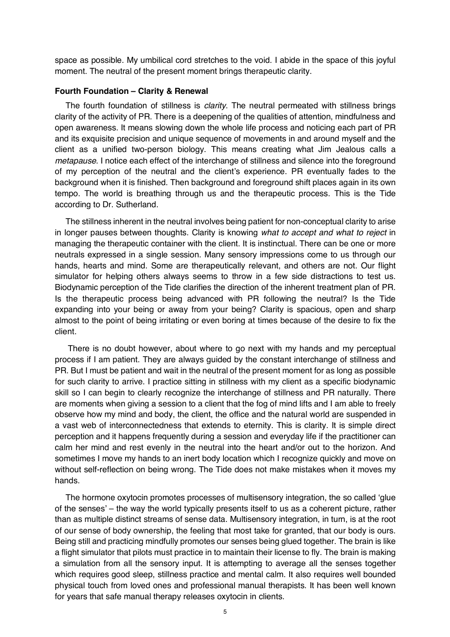space as possible. My umbilical cord stretches to the void. I abide in the space of this joyful moment. The neutral of the present moment brings therapeutic clarity.

#### **Fourth Foundation – Clarity & Renewal**

The fourth foundation of stillness is *clarity*. The neutral permeated with stillness brings clarity of the activity of PR. There is a deepening of the qualities of attention, mindfulness and open awareness. It means slowing down the whole life process and noticing each part of PR and its exquisite precision and unique sequence of movements in and around myself and the client as a unified two-person biology. This means creating what Jim Jealous calls a *metapause*. I notice each effect of the interchange of stillness and silence into the foreground of my perception of the neutral and the client's experience. PR eventually fades to the background when it is finished. Then background and foreground shift places again in its own tempo. The world is breathing through us and the therapeutic process. This is the Tide according to Dr. Sutherland.

The stillness inherent in the neutral involves being patient for non-conceptual clarity to arise in longer pauses between thoughts. Clarity is knowing *what to accept and what to reject* in managing the therapeutic container with the client. It is instinctual. There can be one or more neutrals expressed in a single session. Many sensory impressions come to us through our hands, hearts and mind. Some are therapeutically relevant, and others are not. Our flight simulator for helping others always seems to throw in a few side distractions to test us. Biodynamic perception of the Tide clarifies the direction of the inherent treatment plan of PR. Is the therapeutic process being advanced with PR following the neutral? Is the Tide expanding into your being or away from your being? Clarity is spacious, open and sharp almost to the point of being irritating or even boring at times because of the desire to fix the client.

There is no doubt however, about where to go next with my hands and my perceptual process if I am patient. They are always guided by the constant interchange of stillness and PR. But I must be patient and wait in the neutral of the present moment for as long as possible for such clarity to arrive. I practice sitting in stillness with my client as a specific biodynamic skill so I can begin to clearly recognize the interchange of stillness and PR naturally. There are moments when giving a session to a client that the fog of mind lifts and I am able to freely observe how my mind and body, the client, the office and the natural world are suspended in a vast web of interconnectedness that extends to eternity. This is clarity. It is simple direct perception and it happens frequently during a session and everyday life if the practitioner can calm her mind and rest evenly in the neutral into the heart and/or out to the horizon. And sometimes I move my hands to an inert body location which I recognize quickly and move on without self-reflection on being wrong. The Tide does not make mistakes when it moves my hands.

The hormone oxytocin promotes processes of multisensory integration, the so called 'glue of the senses' – the way the world typically presents itself to us as a coherent picture, rather than as multiple distinct streams of sense data. Multisensory integration, in turn, is at the root of our sense of body ownership, the feeling that most take for granted, that our body is ours. Being still and practicing mindfully promotes our senses being glued together. The brain is like a flight simulator that pilots must practice in to maintain their license to fly. The brain is making a simulation from all the sensory input. It is attempting to average all the senses together which requires good sleep, stillness practice and mental calm. It also requires well bounded physical touch from loved ones and professional manual therapists. It has been well known for years that safe manual therapy releases oxytocin in clients.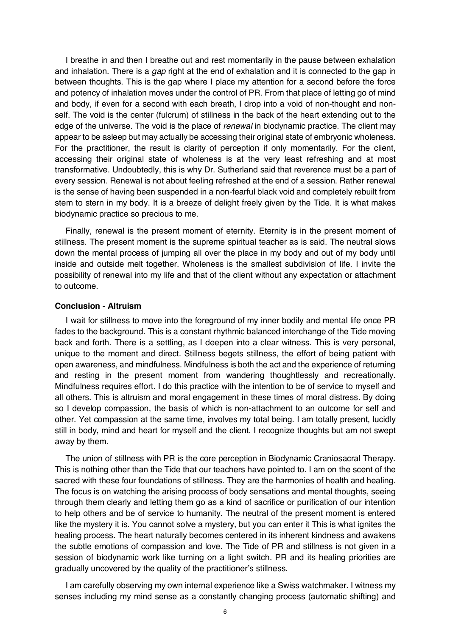I breathe in and then I breathe out and rest momentarily in the pause between exhalation and inhalation. There is a *gap* right at the end of exhalation and it is connected to the gap in between thoughts. This is the gap where I place my attention for a second before the force and potency of inhalation moves under the control of PR. From that place of letting go of mind and body, if even for a second with each breath, I drop into a void of non-thought and nonself. The void is the center (fulcrum) of stillness in the back of the heart extending out to the edge of the universe. The void is the place of *renewal* in biodynamic practice. The client may appear to be asleep but may actually be accessing their original state of embryonic wholeness. For the practitioner, the result is clarity of perception if only momentarily. For the client, accessing their original state of wholeness is at the very least refreshing and at most transformative. Undoubtedly, this is why Dr. Sutherland said that reverence must be a part of every session. Renewal is not about feeling refreshed at the end of a session. Rather renewal is the sense of having been suspended in a non-fearful black void and completely rebuilt from stem to stern in my body. It is a breeze of delight freely given by the Tide. It is what makes biodynamic practice so precious to me.

Finally, renewal is the present moment of eternity. Eternity is in the present moment of stillness. The present moment is the supreme spiritual teacher as is said. The neutral slows down the mental process of jumping all over the place in my body and out of my body until inside and outside melt together. Wholeness is the smallest subdivision of life. I invite the possibility of renewal into my life and that of the client without any expectation or attachment to outcome.

#### **Conclusion - Altruism**

I wait for stillness to move into the foreground of my inner bodily and mental life once PR fades to the background. This is a constant rhythmic balanced interchange of the Tide moving back and forth. There is a settling, as I deepen into a clear witness. This is very personal, unique to the moment and direct. Stillness begets stillness, the effort of being patient with open awareness, and mindfulness. Mindfulness is both the act and the experience of returning and resting in the present moment from wandering thoughtlessly and recreationally. Mindfulness requires effort. I do this practice with the intention to be of service to myself and all others. This is altruism and moral engagement in these times of moral distress. By doing so I develop compassion, the basis of which is non-attachment to an outcome for self and other. Yet compassion at the same time, involves my total being. I am totally present, lucidly still in body, mind and heart for myself and the client. I recognize thoughts but am not swept away by them.

The union of stillness with PR is the core perception in Biodynamic Craniosacral Therapy. This is nothing other than the Tide that our teachers have pointed to. I am on the scent of the sacred with these four foundations of stillness. They are the harmonies of health and healing. The focus is on watching the arising process of body sensations and mental thoughts, seeing through them clearly and letting them go as a kind of sacrifice or purification of our intention to help others and be of service to humanity. The neutral of the present moment is entered like the mystery it is. You cannot solve a mystery, but you can enter it This is what ignites the healing process. The heart naturally becomes centered in its inherent kindness and awakens the subtle emotions of compassion and love. The Tide of PR and stillness is not given in a session of biodynamic work like turning on a light switch. PR and its healing priorities are gradually uncovered by the quality of the practitioner's stillness.

I am carefully observing my own internal experience like a Swiss watchmaker. I witness my senses including my mind sense as a constantly changing process (automatic shifting) and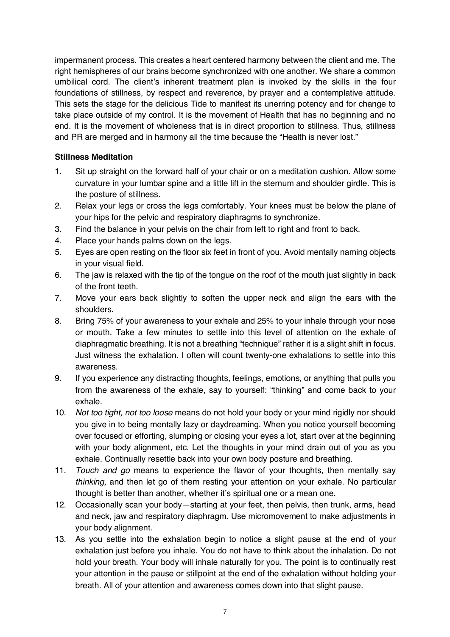impermanent process. This creates a heart centered harmony between the client and me. The right hemispheres of our brains become synchronized with one another. We share a common umbilical cord. The client's inherent treatment plan is invoked by the skills in the four foundations of stillness, by respect and reverence, by prayer and a contemplative attitude. This sets the stage for the delicious Tide to manifest its unerring potency and for change to take place outside of my control. It is the movement of Health that has no beginning and no end. It is the movement of wholeness that is in direct proportion to stillness. Thus, stillness and PR are merged and in harmony all the time because the "Health is never lost."

## **Stillness Meditation**

- 1. Sit up straight on the forward half of your chair or on a meditation cushion. Allow some curvature in your lumbar spine and a little lift in the sternum and shoulder girdle. This is the posture of stillness.
- 2. Relax your legs or cross the legs comfortably. Your knees must be below the plane of your hips for the pelvic and respiratory diaphragms to synchronize.
- 3. Find the balance in your pelvis on the chair from left to right and front to back.
- 4. Place your hands palms down on the legs.
- 5. Eyes are open resting on the floor six feet in front of you. Avoid mentally naming objects in your visual field.
- 6. The jaw is relaxed with the tip of the tongue on the roof of the mouth just slightly in back of the front teeth.
- 7. Move your ears back slightly to soften the upper neck and align the ears with the shoulders.
- 8. Bring 75% of your awareness to your exhale and 25% to your inhale through your nose or mouth. Take a few minutes to settle into this level of attention on the exhale of diaphragmatic breathing. It is not a breathing "technique" rather it is a slight shift in focus. Just witness the exhalation. I often will count twenty-one exhalations to settle into this awareness.
- 9. If you experience any distracting thoughts, feelings, emotions, or anything that pulls you from the awareness of the exhale, say to yourself: "thinking" and come back to your exhale.
- 10. *Not too tight, not too loose* means do not hold your body or your mind rigidly nor should you give in to being mentally lazy or daydreaming. When you notice yourself becoming over focused or efforting, slumping or closing your eyes a lot, start over at the beginning with your body alignment, etc. Let the thoughts in your mind drain out of you as you exhale. Continually resettle back into your own body posture and breathing.
- 11. *Touch and go* means to experience the flavor of your thoughts, then mentally say *thinking,* and then let go of them resting your attention on your exhale. No particular thought is better than another, whether it's spiritual one or a mean one.
- 12. Occasionally scan your body—starting at your feet, then pelvis, then trunk, arms, head and neck, jaw and respiratory diaphragm. Use micromovement to make adjustments in your body alignment.
- 13. As you settle into the exhalation begin to notice a slight pause at the end of your exhalation just before you inhale. You do not have to think about the inhalation. Do not hold your breath. Your body will inhale naturally for you. The point is to continually rest your attention in the pause or stillpoint at the end of the exhalation without holding your breath. All of your attention and awareness comes down into that slight pause.